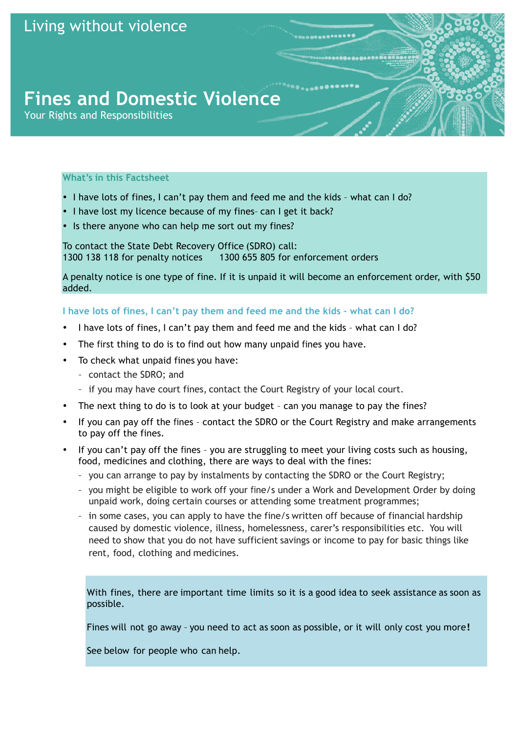# **Fines and Domestic Violence**

Your Rights and Responsibilities

## **What's in this Factsheet**

- I have lots of fines, I can't pay them and feed me and the kids what can I do?
- I have lost my licence because of my fines– can I get it back?
- Is there anyone who can help me sort out my fines?

To contact the State Debt Recovery Office (SDRO) call: 1300 138 118 for penalty notices 1300 655 805 for enforcement orders

A penalty notice is one type of fine. If it is unpaid it will become an enforcement order, with \$50 added.

## **I have lots of fines, I can't pay them and feed me and the kids – what can I do?**

- I have lots of fines, I can't pay them and feed me and the kids what can I do?
- The first thing to do is to find out how many unpaid fines you have.
- To check what unpaid fines you have:
	- contact the SDRO; and
	- if you may have court fines, contact the Court Registry of your local court.
- The next thing to do is to look at your budget can you manage to pay the fines?
- If you can pay off the fines contact the SDRO or the Court Registry and make arrangements to pay off the fines.
- If you can't pay off the fines you are struggling to meet your living costs such as housing, food, medicines and clothing, there are ways to deal with the fines:
	- you can arrange to pay by instalments by contacting the SDRO or the Court Registry;
	- you might be eligible to work off your fine/s under a Work and Development Order by doing unpaid work, doing certain courses or attending some treatment programmes;
	- in some cases, you can apply to have the fine/s written off because of financial hardship caused by domestic violence, illness, homelessness, carer's responsibilities etc. You will need to show that you do not have sufficient savings or income to pay for basic things like rent, food, clothing and medicines.

With fines, there are important time limits so it is a good idea to seek assistance as soon as possible.

Fines will not go away - you need to act as soon as possible, or it will only cost you more!

See below for people who can help.